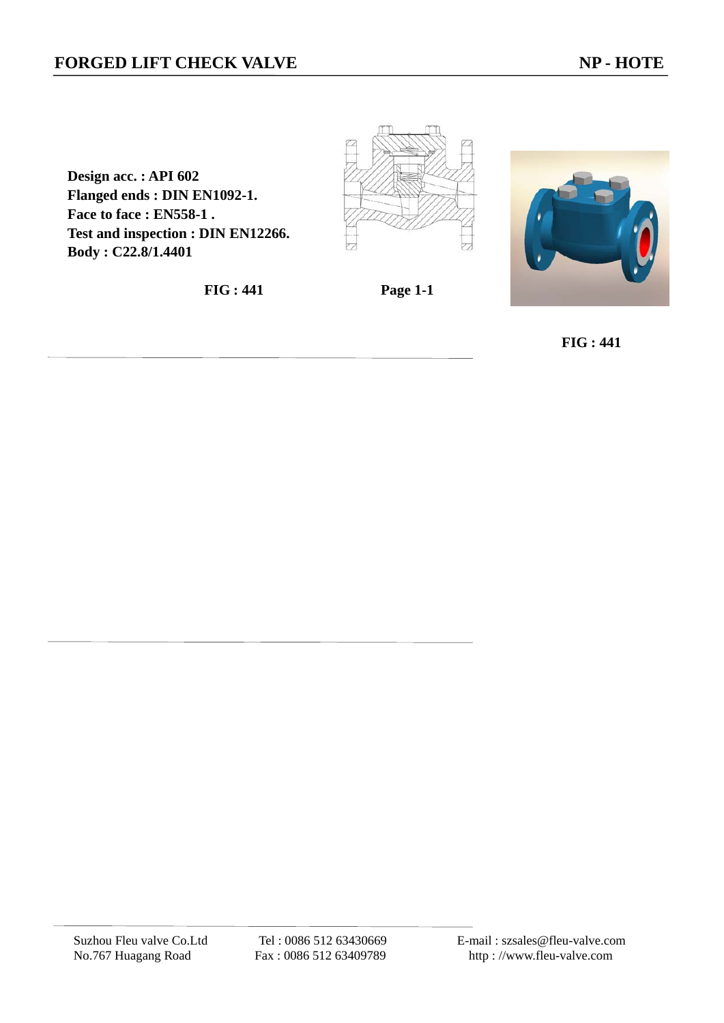**Design acc. : API 602 Flanged ends : DIN EN1092-1. Face to face : EN558-1 . Test and inspection : DIN EN12266. Body : C22.8/1.4401** 

**FIG : 441 Page 1-1** 







 **FIG : 441**